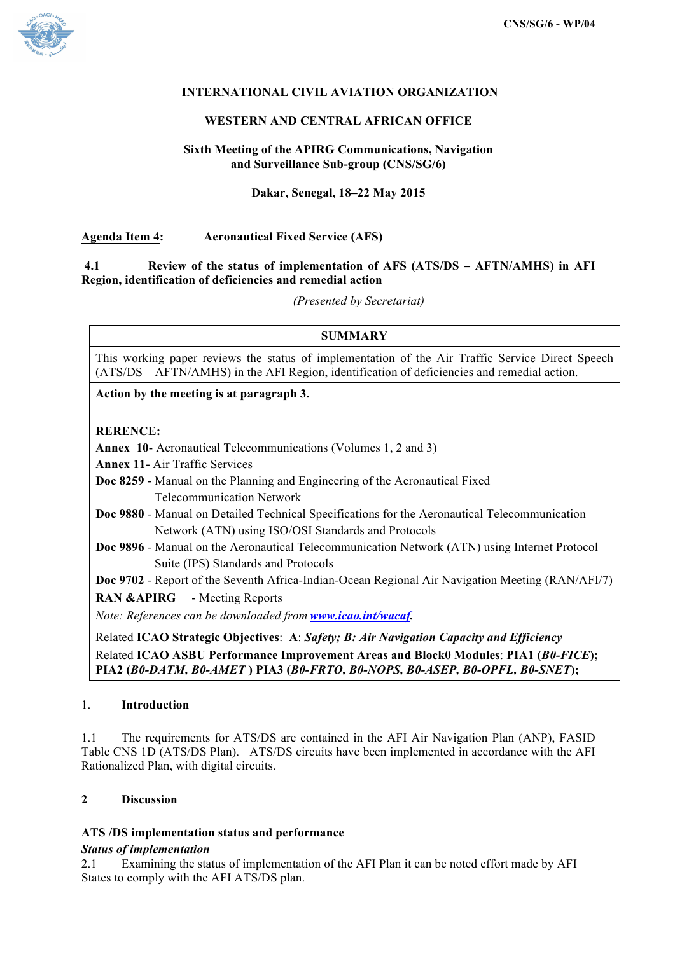

## **INTERNATIONAL CIVIL AVIATION ORGANIZATION**

#### **WESTERN AND CENTRAL AFRICAN OFFICE**

### **Sixth Meeting of the APIRG Communications, Navigation and Surveillance Sub-group (CNS/SG/6)**

### **Dakar, Senegal, 18–22 May 2015**

## **Agenda Item 4: Aeronautical Fixed Service (AFS)**

#### **4.1 Review of the status of implementation of AFS (ATS/DS – AFTN/AMHS) in AFI Region, identification of deficiencies and remedial action**

*(Presented by Secretariat)*

## **SUMMARY**

This working paper reviews the status of implementation of the Air Traffic Service Direct Speech (ATS/DS – AFTN/AMHS) in the AFI Region, identification of deficiencies and remedial action.

**Action by the meeting is at paragraph 3.**

## **RERENCE:**

**Annex 10**- Aeronautical Telecommunications (Volumes 1, 2 and 3)

**Annex 11-** Air Traffic Services

- **Doc 8259** Manual on the Planning and Engineering of the Aeronautical Fixed Telecommunication Network
- **Doc 9880** Manual on Detailed Technical Specifications for the Aeronautical Telecommunication Network (ATN) using ISO/OSI Standards and Protocols
- **Doc 9896** Manual on the Aeronautical Telecommunication Network (ATN) using Internet Protocol Suite (IPS) Standards and Protocols

**Doc 9702** - Report of the Seventh Africa-Indian-Ocean Regional Air Navigation Meeting (RAN/AFI/7) **RAN &APIRG** - Meeting Reports

*Note: References can be downloaded from www.icao.int/wacaf.*

Related **ICAO Strategic Objectives**: **A**: *Safety; B: Air Navigation Capacity and Efficiency* Related **ICAO ASBU Performance Improvement Areas and Block0 Modules**: **PIA1 (***B0-FICE***); PIA2 (***B0-DATM, B0-AMET* **) PIA3 (***B0-FRTO, B0-NOPS, B0-ASEP, B0-OPFL, B0-SNET***);**

#### 1. **Introduction**

1.1 The requirements for ATS/DS are contained in the AFI Air Navigation Plan (ANP), FASID Table CNS 1D (ATS/DS Plan). ATS/DS circuits have been implemented in accordance with the AFI Rationalized Plan, with digital circuits.

# **2 Discussion**

## **ATS /DS implementation status and performance**

#### *Status of implementation*

2.1 Examining the status of implementation of the AFI Plan it can be noted effort made by AFI States to comply with the AFI ATS/DS plan.